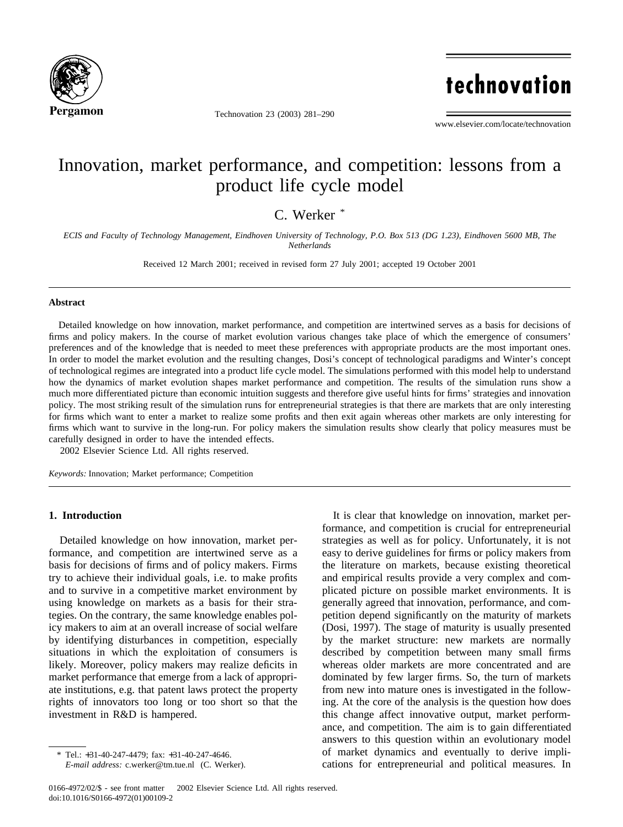

Technovation 23 (2003) 281–290

# technovation

www.elsevier.com/locate/technovation

### Innovation, market performance, and competition: lessons from a product life cycle model

C. Werker \*

*ECIS and Faculty of Technology Management, Eindhoven University of Technology, P.O. Box 513 (DG 1.23), Eindhoven 5600 MB, The Netherlands*

Received 12 March 2001; received in revised form 27 July 2001; accepted 19 October 2001

#### **Abstract**

Detailed knowledge on how innovation, market performance, and competition are intertwined serves as a basis for decisions of firms and policy makers. In the course of market evolution various changes take place of which the emergence of consumers' preferences and of the knowledge that is needed to meet these preferences with appropriate products are the most important ones. In order to model the market evolution and the resulting changes, Dosi's concept of technological paradigms and Winter's concept of technological regimes are integrated into a product life cycle model. The simulations performed with this model help to understand how the dynamics of market evolution shapes market performance and competition. The results of the simulation runs show a much more differentiated picture than economic intuition suggests and therefore give useful hints for firms' strategies and innovation policy. The most striking result of the simulation runs for entrepreneurial strategies is that there are markets that are only interesting for firms which want to enter a market to realize some profits and then exit again whereas other markets are only interesting for firms which want to survive in the long-run. For policy makers the simulation results show clearly that policy measures must be carefully designed in order to have the intended effects.

2002 Elsevier Science Ltd. All rights reserved.

*Keywords:* Innovation; Market performance; Competition

#### **1. Introduction**

Detailed knowledge on how innovation, market performance, and competition are intertwined serve as a basis for decisions of firms and of policy makers. Firms try to achieve their individual goals, i.e. to make profits and to survive in a competitive market environment by using knowledge on markets as a basis for their strategies. On the contrary, the same knowledge enables policy makers to aim at an overall increase of social welfare by identifying disturbances in competition, especially situations in which the exploitation of consumers is likely. Moreover, policy makers may realize deficits in market performance that emerge from a lack of appropriate institutions, e.g. that patent laws protect the property rights of innovators too long or too short so that the investment in R&D is hampered.

It is clear that knowledge on innovation, market performance, and competition is crucial for entrepreneurial strategies as well as for policy. Unfortunately, it is not easy to derive guidelines for firms or policy makers from the literature on markets, because existing theoretical and empirical results provide a very complex and complicated picture on possible market environments. It is generally agreed that innovation, performance, and competition depend significantly on the maturity of markets (Dosi, 1997). The stage of maturity is usually presented by the market structure: new markets are normally described by competition between many small firms whereas older markets are more concentrated and are dominated by few larger firms. So, the turn of markets from new into mature ones is investigated in the following. At the core of the analysis is the question how does this change affect innovative output, market performance, and competition. The aim is to gain differentiated answers to this question within an evolutionary model of market dynamics and eventually to derive implications for entrepreneurial and political measures. In

Tel.: +31-40-247-4479; fax: +31-40-247-4646. *E-mail address:* c.werker@tm.tue.nl (C. Werker).

<sup>0166-4972/02/\$ -</sup> see front matter  $\odot$  2002 Elsevier Science Ltd. All rights reserved. doi:10.1016/S0166-4972(01)00109-2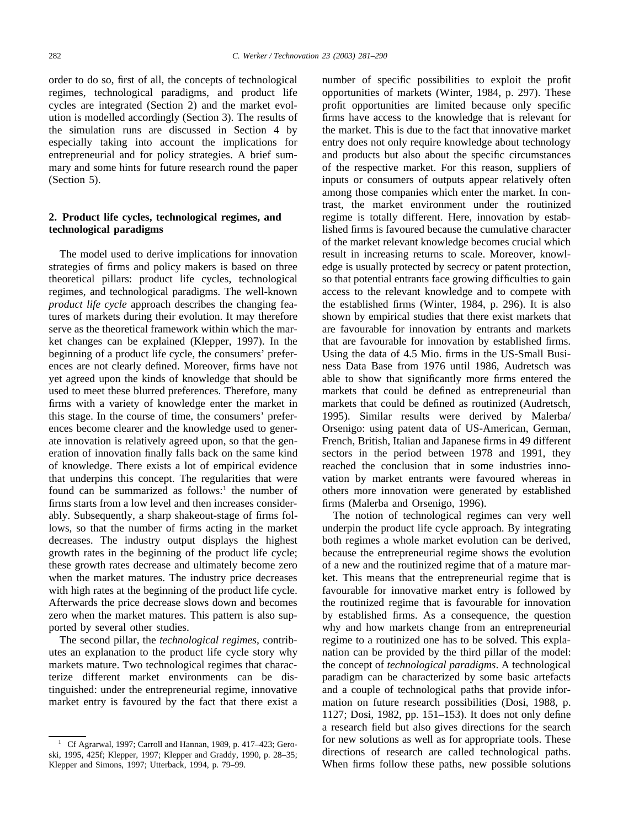order to do so, first of all, the concepts of technological regimes, technological paradigms, and product life cycles are integrated (Section 2) and the market evolution is modelled accordingly (Section 3). The results of the simulation runs are discussed in Section 4 by especially taking into account the implications for entrepreneurial and for policy strategies. A brief summary and some hints for future research round the paper (Section 5).

### **2. Product life cycles, technological regimes, and technological paradigms**

The model used to derive implications for innovation strategies of firms and policy makers is based on three theoretical pillars: product life cycles, technological regimes, and technological paradigms. The well-known *product life cycle* approach describes the changing features of markets during their evolution. It may therefore serve as the theoretical framework within which the market changes can be explained (Klepper, 1997). In the beginning of a product life cycle, the consumers' preferences are not clearly defined. Moreover, firms have not yet agreed upon the kinds of knowledge that should be used to meet these blurred preferences. Therefore, many firms with a variety of knowledge enter the market in this stage. In the course of time, the consumers' preferences become clearer and the knowledge used to generate innovation is relatively agreed upon, so that the generation of innovation finally falls back on the same kind of knowledge. There exists a lot of empirical evidence that underpins this concept. The regularities that were found can be summarized as follows: $<sup>1</sup>$  the number of</sup> firms starts from a low level and then increases considerably. Subsequently, a sharp shakeout-stage of firms follows, so that the number of firms acting in the market decreases. The industry output displays the highest growth rates in the beginning of the product life cycle; these growth rates decrease and ultimately become zero when the market matures. The industry price decreases with high rates at the beginning of the product life cycle. Afterwards the price decrease slows down and becomes zero when the market matures. This pattern is also supported by several other studies.

The second pillar, the *technological regimes*, contributes an explanation to the product life cycle story why markets mature. Two technological regimes that characterize different market environments can be distinguished: under the entrepreneurial regime, innovative market entry is favoured by the fact that there exist a

number of specific possibilities to exploit the profit opportunities of markets (Winter, 1984, p. 297). These profit opportunities are limited because only specific firms have access to the knowledge that is relevant for the market. This is due to the fact that innovative market entry does not only require knowledge about technology and products but also about the specific circumstances of the respective market. For this reason, suppliers of inputs or consumers of outputs appear relatively often among those companies which enter the market. In contrast, the market environment under the routinized regime is totally different. Here, innovation by established firms is favoured because the cumulative character of the market relevant knowledge becomes crucial which result in increasing returns to scale. Moreover, knowledge is usually protected by secrecy or patent protection, so that potential entrants face growing difficulties to gain access to the relevant knowledge and to compete with the established firms (Winter, 1984, p. 296). It is also shown by empirical studies that there exist markets that are favourable for innovation by entrants and markets that are favourable for innovation by established firms. Using the data of 4.5 Mio. firms in the US-Small Business Data Base from 1976 until 1986, Audretsch was able to show that significantly more firms entered the markets that could be defined as entrepreneurial than markets that could be defined as routinized (Audretsch, 1995). Similar results were derived by Malerba/ Orsenigo: using patent data of US-American, German, French, British, Italian and Japanese firms in 49 different sectors in the period between 1978 and 1991, they reached the conclusion that in some industries innovation by market entrants were favoured whereas in others more innovation were generated by established firms (Malerba and Orsenigo, 1996).

The notion of technological regimes can very well underpin the product life cycle approach. By integrating both regimes a whole market evolution can be derived, because the entrepreneurial regime shows the evolution of a new and the routinized regime that of a mature market. This means that the entrepreneurial regime that is favourable for innovative market entry is followed by the routinized regime that is favourable for innovation by established firms. As a consequence, the question why and how markets change from an entrepreneurial regime to a routinized one has to be solved. This explanation can be provided by the third pillar of the model: the concept of *technological paradigms*. A technological paradigm can be characterized by some basic artefacts and a couple of technological paths that provide information on future research possibilities (Dosi, 1988, p. 1127; Dosi, 1982, pp. 151–153). It does not only define a research field but also gives directions for the search for new solutions as well as for appropriate tools. These directions of research are called technological paths. When firms follow these paths, new possible solutions

<sup>1</sup> Cf Agrarwal, 1997; Carroll and Hannan, 1989, p. 417–423; Geroski, 1995, 425f; Klepper, 1997; Klepper and Graddy, 1990, p. 28–35; Klepper and Simons, 1997; Utterback, 1994, p. 79–99.